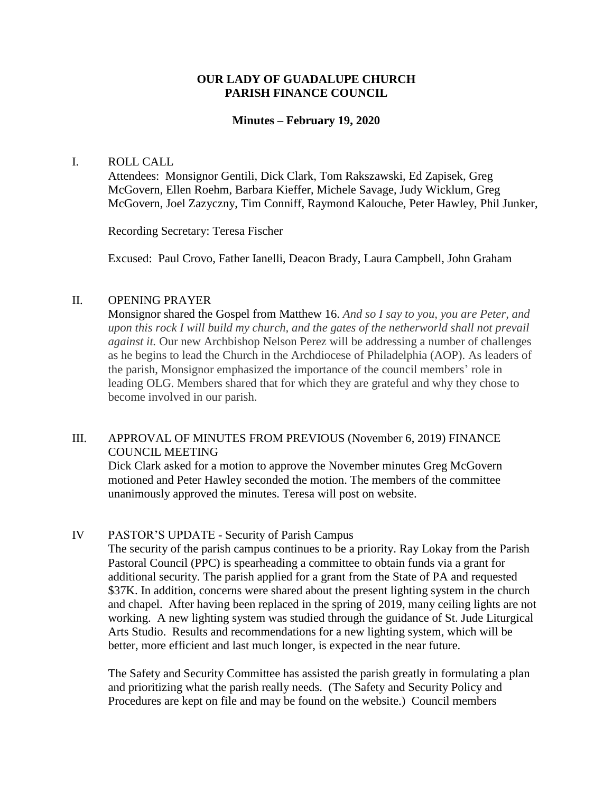### **OUR LADY OF GUADALUPE CHURCH PARISH FINANCE COUNCIL**

#### **Minutes – February 19, 2020**

#### I. ROLL CALL

Attendees: Monsignor Gentili, Dick Clark, Tom Rakszawski, Ed Zapisek, Greg McGovern, Ellen Roehm, Barbara Kieffer, Michele Savage, Judy Wicklum, Greg McGovern, Joel Zazyczny, Tim Conniff, Raymond Kalouche, Peter Hawley, Phil Junker,

Recording Secretary: Teresa Fischer

Excused: Paul Crovo, Father Ianelli, Deacon Brady, Laura Campbell, John Graham

### II. OPENING PRAYER

Monsignor shared the Gospel from Matthew 16. *And so I say to you, you are Peter, and upon this rock I will build my church, and the gates of the netherworld shall not prevail against it.* Our new Archbishop Nelson Perez will be addressing a number of challenges as he begins to lead the Church in the Archdiocese of Philadelphia (AOP). As leaders of the parish, Monsignor emphasized the importance of the council members' role in leading OLG. Members shared that for which they are grateful and why they chose to become involved in our parish.

## III. APPROVAL OF MINUTES FROM PREVIOUS (November 6, 2019) FINANCE COUNCIL MEETING

Dick Clark asked for a motion to approve the November minutes Greg McGovern motioned and Peter Hawley seconded the motion. The members of the committee unanimously approved the minutes. Teresa will post on website.

### IV PASTOR'S UPDATE - Security of Parish Campus

The security of the parish campus continues to be a priority. Ray Lokay from the Parish Pastoral Council (PPC) is spearheading a committee to obtain funds via a grant for additional security. The parish applied for a grant from the State of PA and requested \$37K. In addition, concerns were shared about the present lighting system in the church and chapel. After having been replaced in the spring of 2019, many ceiling lights are not working. A new lighting system was studied through the guidance of St. Jude Liturgical Arts Studio. Results and recommendations for a new lighting system, which will be better, more efficient and last much longer, is expected in the near future.

The Safety and Security Committee has assisted the parish greatly in formulating a plan and prioritizing what the parish really needs. (The Safety and Security Policy and Procedures are kept on file and may be found on the website.) Council members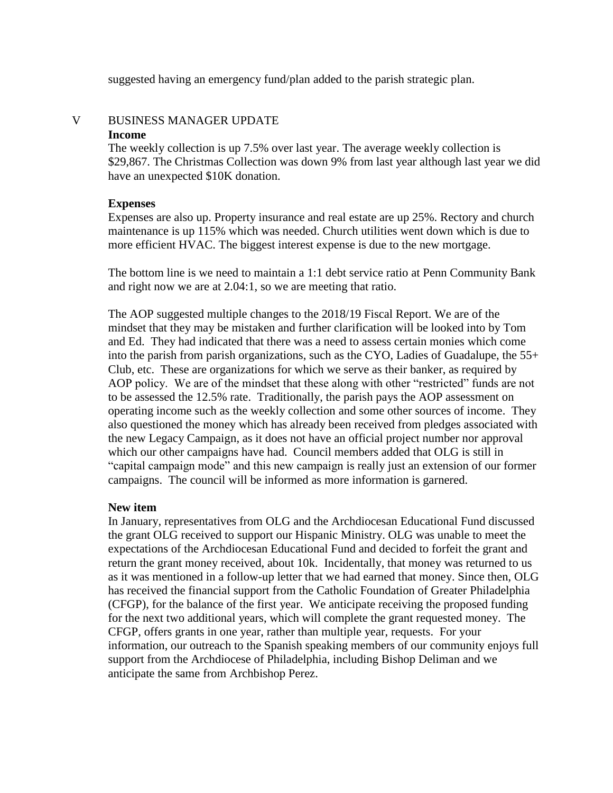suggested having an emergency fund/plan added to the parish strategic plan.

# V BUSINESS MANAGER UPDATE **Income**

The weekly collection is up 7.5% over last year. The average weekly collection is \$29,867. The Christmas Collection was down 9% from last year although last year we did have an unexpected \$10K donation.

## **Expenses**

Expenses are also up. Property insurance and real estate are up 25%. Rectory and church maintenance is up 115% which was needed. Church utilities went down which is due to more efficient HVAC. The biggest interest expense is due to the new mortgage.

The bottom line is we need to maintain a 1:1 debt service ratio at Penn Community Bank and right now we are at 2.04:1, so we are meeting that ratio.

The AOP suggested multiple changes to the 2018/19 Fiscal Report. We are of the mindset that they may be mistaken and further clarification will be looked into by Tom and Ed. They had indicated that there was a need to assess certain monies which come into the parish from parish organizations, such as the CYO, Ladies of Guadalupe, the 55+ Club, etc. These are organizations for which we serve as their banker, as required by AOP policy. We are of the mindset that these along with other "restricted" funds are not to be assessed the 12.5% rate. Traditionally, the parish pays the AOP assessment on operating income such as the weekly collection and some other sources of income. They also questioned the money which has already been received from pledges associated with the new Legacy Campaign, as it does not have an official project number nor approval which our other campaigns have had. Council members added that OLG is still in "capital campaign mode" and this new campaign is really just an extension of our former campaigns. The council will be informed as more information is garnered.

### **New item**

In January, representatives from OLG and the Archdiocesan Educational Fund discussed the grant OLG received to support our Hispanic Ministry. OLG was unable to meet the expectations of the Archdiocesan Educational Fund and decided to forfeit the grant and return the grant money received, about 10k. Incidentally, that money was returned to us as it was mentioned in a follow-up letter that we had earned that money. Since then, OLG has received the financial support from the Catholic Foundation of Greater Philadelphia (CFGP), for the balance of the first year. We anticipate receiving the proposed funding for the next two additional years, which will complete the grant requested money. The CFGP, offers grants in one year, rather than multiple year, requests. For your information, our outreach to the Spanish speaking members of our community enjoys full support from the Archdiocese of Philadelphia, including Bishop Deliman and we anticipate the same from Archbishop Perez.